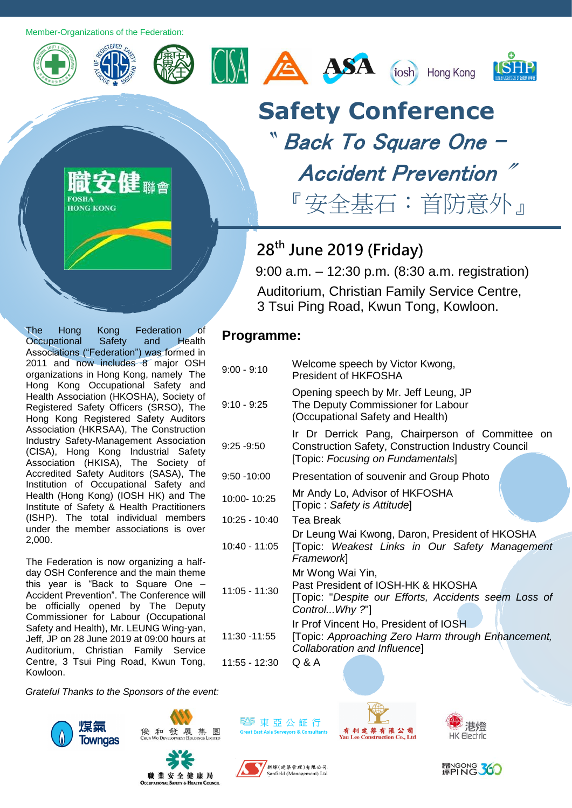Member-Organizations of the Federation:



**FORHA HONG KONG** 







**Programme:**

9:10 - 9:25







## **Safety Conference** 〝 Back To Square One –

# Accident Prevention

『安全基石:首防意外』

### **28th June 2019 (Friday)**

9:00 - 9:10 Welcome speech by Victor Kwong, President of HKFOSHA

9:00 a.m. – 12:30 p.m. (8:30 a.m. registration) Auditorium, Christian Family Service Centre, 3 Tsui Ping Road, Kwun Tong, Kowloon.

The Hong Kong Federation of Occupational Safety and Health Associations ("Federation") was formed in 2011 and now includes 8 major OSH organizations in Hong Kong, namely The Hong Kong Occupational Safety and Health Association (HKOSHA), Society of Registered Safety Officers (SRSO), The Hong Kong Registered Safety Auditors Association (HKRSAA), The Construction Industry Safety-Management Association (CISA), Hong Kong Industrial Safety Association (HKISA), The Society of Accredited Safety Auditors (SASA), The Institution of Occupational Safety and Health (Hong Kong) (IOSH HK) and The Institute of Safety & Health Practitioners (ISHP). The total individual members under the member associations is over 2,000.

The Federation is now organizing a halfday OSH Conference and the main theme this year is "Back to Square One – Accident Prevention". The Conference will be officially opened by The Deputy Commissioner for Labour (Occupational Safety and Health), Mr. LEUNG Wing-yan, Jeff, JP on 28 June 2019 at 09:00 hours at Auditorium, Christian Family Service Centre, 3 Tsui Ping Road, Kwun Tong, Kowloon.

*Grateful Thanks to the Sponsors of the event:*







**图**東亞公証行









#### 9:25 -9:50 Construction Safety, Construction Industry Council [Topic: *Focusing on Fundamentals*]

9:50 -10:00 Presentation of souvenir and Group Photo

Opening speech by Mr. Jeff Leung, JP The Deputy Commissioner for Labour (Occupational Safety and Health)

- 10:00- 10:25 Mr Andy Lo, Advisor of HKFOSHA [Topic : *Safety is Attitude*]
- 10:25 10:40 Tea Break

10:40 - 11:05 Dr Leung Wai Kwong, Daron, President of HKOSHA [Topic: *Weakest Links in Our Safety Management Framework*] 11:05 - 11:30 Mr Wong Wai Yin, Past President of IOSH-HK & HKOSHA [Topic: "*Despite our Efforts, Accidents seem Loss of* 

Ir Dr Derrick Pang, Chairperson of Committee on

*Control...Why ?*"] 11:30 -11:55 Ir Prof Vincent Ho, President of IOSH [Topic: *Approaching Zero Harm through Enhancement, Collaboration and Influence*]

11:55 - 12:30 Q & A